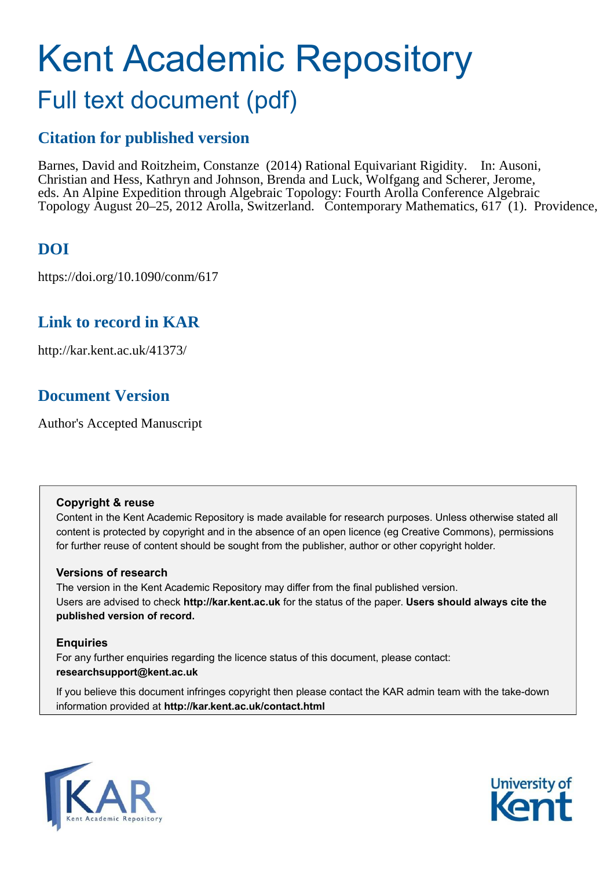# Kent Academic Repository

## Full text document (pdf)

## **Citation for published version**

Barnes, David and Roitzheim, Constanze (2014) Rational Equivariant Rigidity. In: Ausoni, Christian and Hess, Kathryn and Johnson, Brenda and Luck, Wolfgang and Scherer, Jerome, eds. An Alpine Expedition through Algebraic Topology: Fourth Arolla Conference Algebraic Topology August 20–25, 2012 Arolla, Switzerland. Contemporary Mathematics, 617 (1). Providence,

## **DOI**

https://doi.org/10.1090/conm/617

## **Link to record in KAR**

http://kar.kent.ac.uk/41373/

## **Document Version**

Author's Accepted Manuscript

#### **Copyright & reuse**

Content in the Kent Academic Repository is made available for research purposes. Unless otherwise stated all content is protected by copyright and in the absence of an open licence (eg Creative Commons), permissions for further reuse of content should be sought from the publisher, author or other copyright holder.

#### **Versions of research**

The version in the Kent Academic Repository may differ from the final published version. Users are advised to check **http://kar.kent.ac.uk** for the status of the paper. **Users should always cite the published version of record.**

#### **Enquiries**

For any further enquiries regarding the licence status of this document, please contact: **researchsupport@kent.ac.uk**

If you believe this document infringes copyright then please contact the KAR admin team with the take-down information provided at **http://kar.kent.ac.uk/contact.html**



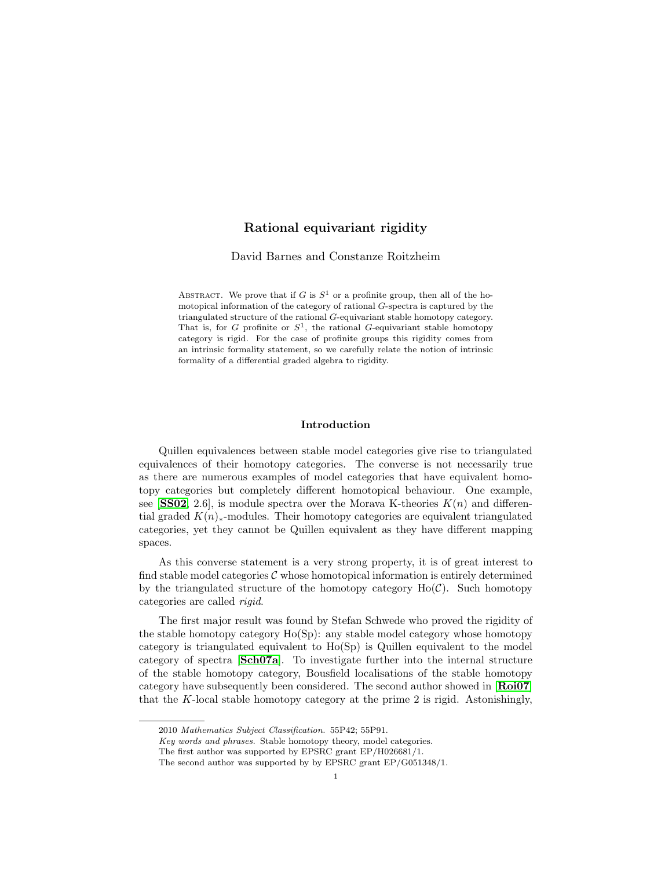#### Rational equivariant rigidity

David Barnes and Constanze Roitzheim

ABSTRACT. We prove that if G is  $S^1$  or a profinite group, then all of the homotopical information of the category of rational G-spectra is captured by the triangulated structure of the rational G-equivariant stable homotopy category. That is, for G profinite or  $S^1$ , the rational G-equivariant stable homotopy category is rigid. For the case of profinite groups this rigidity comes from an intrinsic formality statement, so we carefully relate the notion of intrinsic formality of a differential graded algebra to rigidity.

#### Introduction

Quillen equivalences between stable model categories give rise to triangulated equivalences of their homotopy categories. The converse is not necessarily true as there are numerous examples of model categories that have equivalent homotopy categories but completely different homotopical behaviour. One example, see **[[SS02](#page-18-0)**, 2.6], is module spectra over the Morava K-theories  $K(n)$  and differential graded  $K(n)_{*}$ -modules. Their homotopy categories are equivalent triangulated categories, yet they cannot be Quillen equivalent as they have different mapping spaces.

As this converse statement is a very strong property, it is of great interest to find stable model categories  $\mathcal C$  whose homotopical information is entirely determined by the triangulated structure of the homotopy category  $Ho(\mathcal{C})$ . Such homotopy categories are called rigid.

The first major result was found by Stefan Schwede who proved the rigidity of the stable homotopy category Ho(Sp): any stable model category whose homotopy category is triangulated equivalent to Ho(Sp) is Quillen equivalent to the model category of spectra [[Sch07a](#page-18-1)]. To investigate further into the internal structure of the stable homotopy category, Bousfield localisations of the stable homotopy category have subsequently been considered. The second author showed in [[Roi07](#page-17-0)] that the K-local stable homotopy category at the prime 2 is rigid. Astonishingly,

<sup>2010</sup> Mathematics Subject Classification. 55P42; 55P91.

Key words and phrases. Stable homotopy theory, model categories.

The first author was supported by EPSRC grant EP/H026681/1.

The second author was supported by by EPSRC grant EP/G051348/1.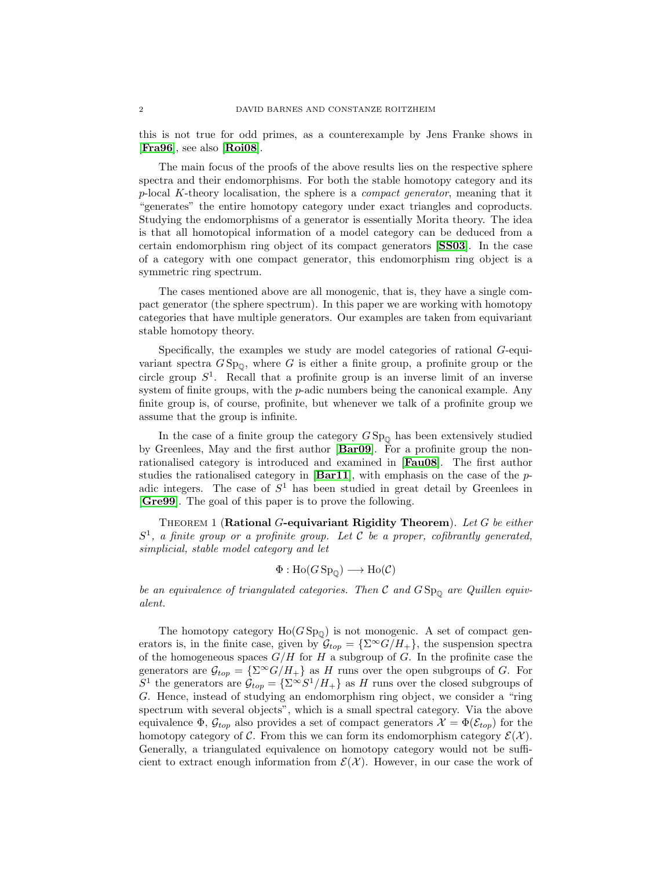this is not true for odd primes, as a counterexample by Jens Franke shows in [[Fra96](#page-17-1)], see also [[Roi08](#page-17-2)].

The main focus of the proofs of the above results lies on the respective sphere spectra and their endomorphisms. For both the stable homotopy category and its  $p$ -local K-theory localisation, the sphere is a *compact generator*, meaning that it "generates" the entire homotopy category under exact triangles and coproducts. Studying the endomorphisms of a generator is essentially Morita theory. The idea is that all homotopical information of a model category can be deduced from a certain endomorphism ring object of its compact generators [[SS03](#page-18-2)]. In the case of a category with one compact generator, this endomorphism ring object is a symmetric ring spectrum.

The cases mentioned above are all monogenic, that is, they have a single compact generator (the sphere spectrum). In this paper we are working with homotopy categories that have multiple generators. Our examples are taken from equivariant stable homotopy theory.

Specifically, the examples we study are model categories of rational G-equivariant spectra  $G Sp_{0}$ , where G is either a finite group, a profinite group or the circle group  $S<sup>1</sup>$ . Recall that a profinite group is an inverse limit of an inverse system of finite groups, with the  $p$ -adic numbers being the canonical example. Any finite group is, of course, profinite, but whenever we talk of a profinite group we assume that the group is infinite.

In the case of a finite group the category  $GSp_{\mathbb{O}}$  has been extensively studied by Greenlees, May and the first author [[Bar09](#page-17-3)]. For a profinite group the nonrationalised category is introduced and examined in [[Fau08](#page-17-4)]. The first author studies the rationalised category in  $\left[\text{Bar}11\right]$ , with emphasis on the case of the padic integers. The case of  $S<sup>1</sup>$  has been studied in great detail by Greenlees in [[Gre99](#page-17-6)]. The goal of this paper is to prove the following.

Theorem 1 (Rational G-equivariant Rigidity Theorem). Let G be either  $S<sup>1</sup>$ , a finite group or a profinite group. Let C be a proper, cofibrantly generated, simplicial, stable model category and let

$$
\Phi: \text{Ho}(G\operatorname{Sp}_{\mathbb{Q}}) \longrightarrow \text{Ho}(\mathcal{C})
$$

be an equivalence of triangulated categories. Then  $C$  and  $GSp_{\mathbb{Q}}$  are Quillen equivalent.

The homotopy category  $Ho(GSp_{\mathbb{Q}})$  is not monogenic. A set of compact generators is, in the finite case, given by  $\mathcal{G}_{top} = {\Sigma^{\infty} G/H_+}$ , the suspension spectra of the homogeneous spaces  $G/H$  for H a subgroup of G. In the profinite case the generators are  $\mathcal{G}_{top} = {\Sigma^{\infty} G/H_+}$  as H runs over the open subgroups of G. For  $S^1$  the generators are  $\mathcal{G}_{top} = {\sum^{\infty} S^1 / H_+}$  as H runs over the closed subgroups of G. Hence, instead of studying an endomorphism ring object, we consider a "ring spectrum with several objects", which is a small spectral category. Via the above equivalence  $\Phi$ ,  $\mathcal{G}_{top}$  also provides a set of compact generators  $\mathcal{X} = \Phi(\mathcal{E}_{top})$  for the homotopy category of C. From this we can form its endomorphism category  $\mathcal{E}(\mathcal{X})$ . Generally, a triangulated equivalence on homotopy category would not be sufficient to extract enough information from  $\mathcal{E}(\mathcal{X})$ . However, in our case the work of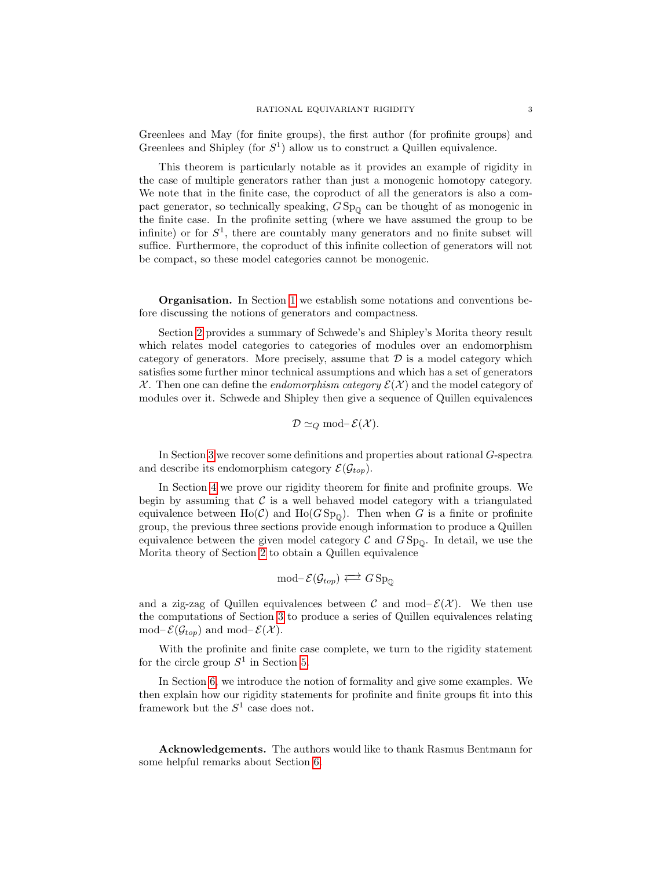<span id="page-3-0"></span>Greenlees and May (for finite groups), the first author (for profinite groups) and Greenlees and Shipley (for  $S<sup>1</sup>$ ) allow us to construct a Quillen equivalence.

This theorem is particularly notable as it provides an example of rigidity in the case of multiple generators rather than just a monogenic homotopy category. We note that in the finite case, the coproduct of all the generators is also a compact generator, so technically speaking,  $GSp_{\mathbb{O}}$  can be thought of as monogenic in the finite case. In the profinite setting (where we have assumed the group to be infinite) or for  $S^1$ , there are countably many generators and no finite subset will suffice. Furthermore, the coproduct of this infinite collection of generators will not be compact, so these model categories cannot be monogenic.

Organisation. In Section [1](#page-3-0) we establish some notations and conventions before discussing the notions of generators and compactness.

Section [2](#page-4-0) provides a summary of Schwede's and Shipley's Morita theory result which relates model categories to categories of modules over an endomorphism category of generators. More precisely, assume that  $\mathcal D$  is a model category which satisfies some further minor technical assumptions and which has a set of generators X. Then one can define the *endomorphism category*  $\mathcal{E}(\mathcal{X})$  and the model category of modules over it. Schwede and Shipley then give a sequence of Quillen equivalences

$$
\mathcal{D} \simeq_Q \text{mod-} \mathcal{E}(\mathcal{X}).
$$

In Section [3](#page-7-0) we recover some definitions and properties about rational G-spectra and describe its endomorphism category  $\mathcal{E}(\mathcal{G}_{top})$ .

In Section [4](#page-9-0) we prove our rigidity theorem for finite and profinite groups. We begin by assuming that  $\mathcal C$  is a well behaved model category with a triangulated equivalence between Ho(C) and Ho( $GSp<sub>0</sub>$ ). Then when G is a finite or profinite group, the previous three sections provide enough information to produce a Quillen equivalence between the given model category  $\mathcal C$  and  $GSp_{0}$ . In detail, we use the Morita theory of Section [2](#page-4-0) to obtain a Quillen equivalence

$$
\operatorname{mod-} \mathcal{E}(\mathcal{G}_{top}) \Longleftrightarrow G \operatorname{Sp}_{\mathbb{Q}}
$$

and a zig-zag of Quillen equivalences between C and mod– $\mathcal{E}(\mathcal{X})$ . We then use the computations of Section [3](#page-7-0) to produce a series of Quillen equivalences relating mod– $\mathcal{E}(\mathcal{G}_{top})$  and mod– $\mathcal{E}(\mathcal{X})$ .

With the profinite and finite case complete, we turn to the rigidity statement for the circle group  $S^1$  in Section [5.](#page-10-0)

In Section [6,](#page-13-0) we introduce the notion of formality and give some examples. We then explain how our rigidity statements for profinite and finite groups fit into this framework but the  $S^1$  case does not.

Acknowledgements. The authors would like to thank Rasmus Bentmann for some helpful remarks about Section [6.](#page-13-0)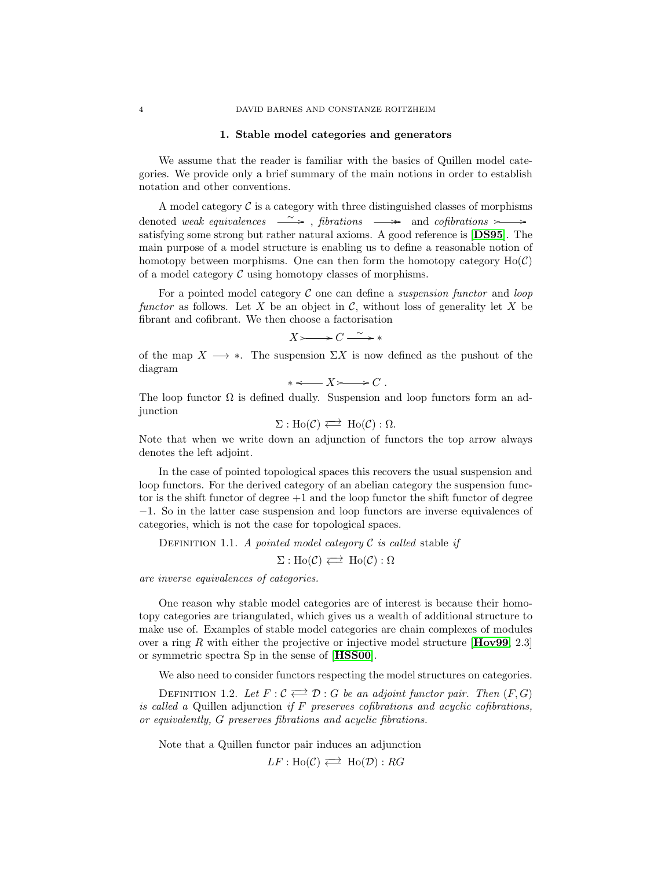#### 1. Stable model categories and generators

We assume that the reader is familiar with the basics of Quillen model categories. We provide only a brief summary of the main notions in order to establish notation and other conventions.

A model category  $\mathcal C$  is a category with three distinguished classes of morphisms denoted weak equivalences  $\longrightarrow$ , fibrations  $\longrightarrow$  and cofibrations  $\rightarrow$ satisfying some strong but rather natural axioms. A good reference is [[DS95](#page-17-7)]. The main purpose of a model structure is enabling us to define a reasonable notion of homotopy between morphisms. One can then form the homotopy category  $Ho(\mathcal{C})$ of a model category  $\mathcal C$  using homotopy classes of morphisms.

For a pointed model category  $C$  one can define a *suspension functor* and *loop* functor as follows. Let X be an object in  $\mathcal{C}$ , without loss of generality let X be fibrant and cofibrant. We then choose a factorisation

$$
X \rightarrow C \stackrel{\sim}{\longrightarrow} *
$$

of the map  $X \longrightarrow *$ . The suspension  $\Sigma X$  is now defined as the pushout of the diagram

 $* \leftarrow X \rightarrow C$ .

The loop functor  $\Omega$  is defined dually. Suspension and loop functors form an adjunction

$$
\Sigma: Ho(\mathcal{C}) \Longleftrightarrow Ho(\mathcal{C}): \Omega.
$$

Note that when we write down an adjunction of functors the top arrow always denotes the left adjoint.

In the case of pointed topological spaces this recovers the usual suspension and loop functors. For the derived category of an abelian category the suspension functor is the shift functor of degree  $+1$  and the loop functor the shift functor of degree −1. So in the latter case suspension and loop functors are inverse equivalences of categories, which is not the case for topological spaces.

DEFINITION 1.1. A pointed model category  $\mathcal C$  is called stable if

 $\Sigma : Ho(\mathcal{C}) \rightleftarrows Ho(\mathcal{C}) : \Omega$ 

are inverse equivalences of categories.

One reason why stable model categories are of interest is because their homotopy categories are triangulated, which gives us a wealth of additional structure to make use of. Examples of stable model categories are chain complexes of modules over a ring R with either the projective or injective model structure  $[\text{How99}, 2.3]$ or symmetric spectra Sp in the sense of [[HSS00](#page-17-9)].

We also need to consider functors respecting the model structures on categories.

<span id="page-4-0"></span>DEFINITION 1.2. Let  $F : \mathcal{C} \rightleftarrows \mathcal{D} : G$  be an adjoint functor pair. Then  $(F, G)$ is called a Quillen adjunction if  $F$  preserves cofibrations and acyclic cofibrations, or equivalently, G preserves fibrations and acyclic fibrations.

Note that a Quillen functor pair induces an adjunction

 $LF : Ho(\mathcal{C}) \rightleftarrows Ho(\mathcal{D}) : RG$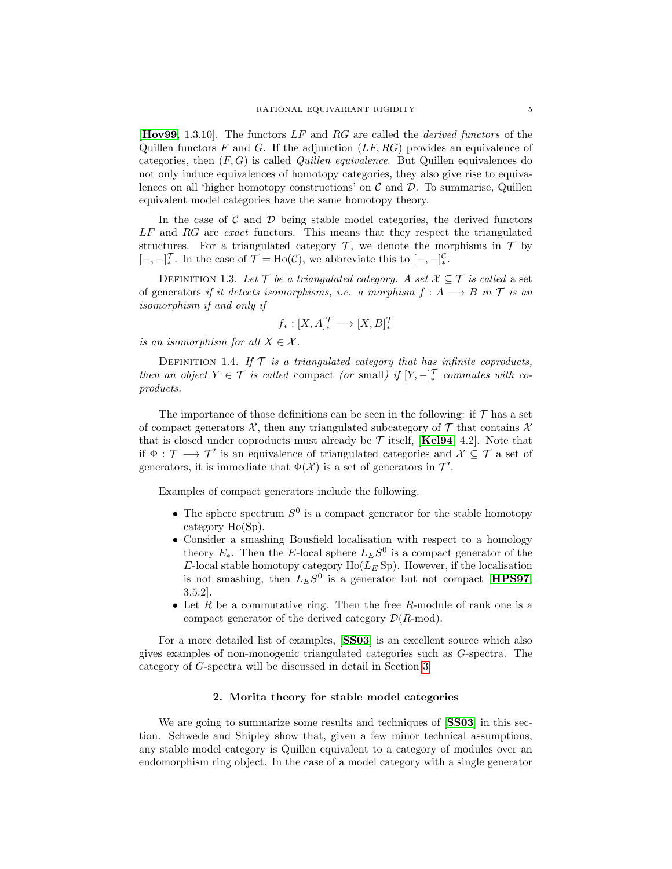**[[Hov99](#page-17-8),** 1.3.10]. The functors  $LF$  and  $RG$  are called the *derived functors* of the Quillen functors F and G. If the adjunction  $(LF, RG)$  provides an equivalence of categories, then  $(F, G)$  is called *Quillen equivalence*. But Quillen equivalences do not only induce equivalences of homotopy categories, they also give rise to equivalences on all 'higher homotopy constructions' on  $\mathcal C$  and  $\mathcal D$ . To summarise, Quillen equivalent model categories have the same homotopy theory.

In the case of  $\mathcal C$  and  $\mathcal D$  being stable model categories, the derived functors LF and RG are exact functors. This means that they respect the triangulated structures. For a triangulated category  $\mathcal{T}$ , we denote the morphisms in  $\mathcal{T}$  by  $[-,-]^{\mathcal{T}}_*.$  In the case of  $\mathcal{T} = Ho(\mathcal{C})$ , we abbreviate this to  $[-,-]^{\mathcal{C}}_*$ .

DEFINITION 1.3. Let T be a triangulated category. A set  $X \subseteq T$  is called a set of generators if it detects isomorphisms, i.e. a morphism  $f : A \longrightarrow B$  in  $\mathcal T$  is an isomorphism if and only if

$$
f_*:[X,A]^{\mathcal{T}}_*\longrightarrow [X,B]^{\mathcal{T}}_*
$$

is an isomorphism for all  $X \in \mathcal{X}$ .

DEFINITION 1.4. If  $T$  is a triangulated category that has infinite coproducts, then an object  $Y \in \mathcal{T}$  is called compact (or small) if  $[Y, -]_*^{\mathcal{T}}$  commutes with coproducts.

The importance of those definitions can be seen in the following: if  $\mathcal T$  has a set of compact generators  $\mathcal{X}$ , then any triangulated subcategory of  $\mathcal{T}$  that contains  $\mathcal{X}$ that is closed under coproducts must already be  $\mathcal T$  itself, [[Kel94](#page-17-10), 4.2]. Note that if  $\Phi: \mathcal{T} \longrightarrow \mathcal{T}'$  is an equivalence of triangulated categories and  $\mathcal{X} \subseteq \mathcal{T}$  a set of generators, it is immediate that  $\Phi(\mathcal{X})$  is a set of generators in  $\mathcal{T}'$ .

Examples of compact generators include the following.

- The sphere spectrum  $S^0$  is a compact generator for the stable homotopy category Ho(Sp).
- Consider a smashing Bousfield localisation with respect to a homology theory  $E_*$ . Then the E-local sphere  $L_E S^0$  is a compact generator of the E-local stable homotopy category  $Ho(L_E Sp)$ . However, if the localisation is not smashing, then  $L_E S^0$  is a generator but not compact [[HPS97](#page-17-11), 3.5.2].
- <span id="page-5-0"></span>• Let  $R$  be a commutative ring. Then the free  $R$ -module of rank one is a compact generator of the derived category  $\mathcal{D}(R\text{-mod})$ .

For a more detailed list of examples, [[SS03](#page-18-2)] is an excellent source which also gives examples of non-monogenic triangulated categories such as G-spectra. The category of G-spectra will be discussed in detail in Section [3.](#page-7-0)

#### 2. Morita theory for stable model categories

We are going to summarize some results and techniques of  $[SS03]$  $[SS03]$  $[SS03]$  in this section. Schwede and Shipley show that, given a few minor technical assumptions, any stable model category is Quillen equivalent to a category of modules over an endomorphism ring object. In the case of a model category with a single generator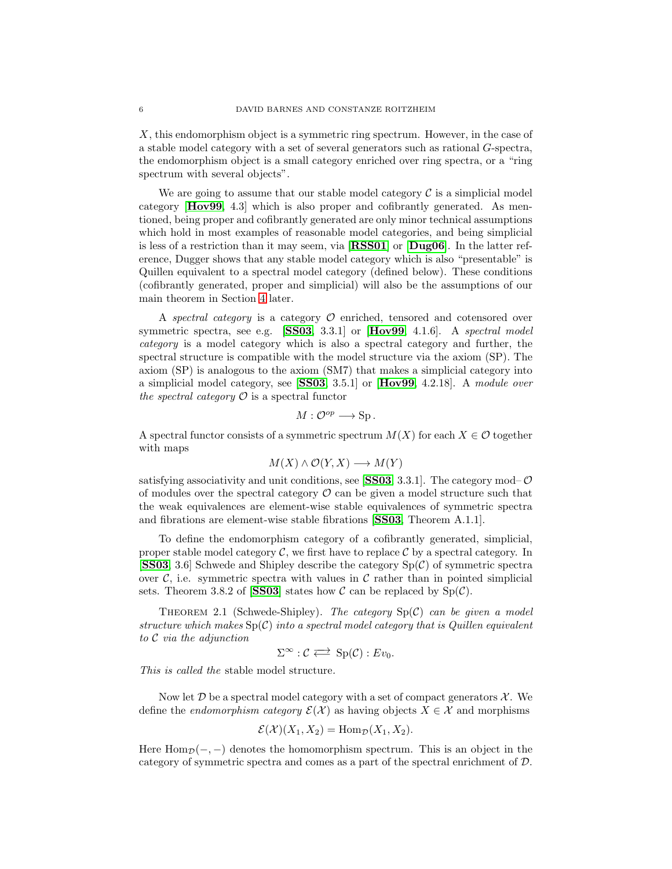X, this endomorphism object is a symmetric ring spectrum. However, in the case of a stable model category with a set of several generators such as rational G-spectra, the endomorphism object is a small category enriched over ring spectra, or a "ring spectrum with several objects".

We are going to assume that our stable model category  $\mathcal C$  is a simplicial model category [[Hov99](#page-17-8), 4.3] which is also proper and cofibrantly generated. As mentioned, being proper and cofibrantly generated are only minor technical assumptions which hold in most examples of reasonable model categories, and being simplicial is less of a restriction than it may seem, via [[RSS01](#page-18-3)] or [[Dug06](#page-17-12)]. In the latter reference, Dugger shows that any stable model category which is also "presentable" is Quillen equivalent to a spectral model category (defined below). These conditions (cofibrantly generated, proper and simplicial) will also be the assumptions of our main theorem in Section [4](#page-9-0) later.

<span id="page-6-0"></span>A spectral category is a category  $\mathcal O$  enriched, tensored and cotensored over symmetric spectra, see e.g. [[SS03](#page-18-2), 3.3.1] or [[Hov99](#page-17-8), 4.1.6]. A spectral model category is a model category which is also a spectral category and further, the spectral structure is compatible with the model structure via the axiom (SP). The axiom (SP) is analogous to the axiom (SM7) that makes a simplicial category into a simplicial model category, see [[SS03](#page-18-2), 3.5.1] or [[Hov99](#page-17-8), 4.2.18]. A module over the spectral category  $\mathcal O$  is a spectral functor

$$
M:\mathcal{O}^{op}\longrightarrow \text{Sp}.
$$

A spectral functor consists of a symmetric spectrum  $M(X)$  for each  $X \in \mathcal{O}$  together with maps

$$
M(X) \wedge \mathcal{O}(Y, X) \longrightarrow M(Y)
$$

satisfying associativity and unit conditions, see [[SS03](#page-18-2), 3.3.1]. The category mod– $\mathcal{O}$ of modules over the spectral category  $\mathcal O$  can be given a model structure such that the weak equivalences are element-wise stable equivalences of symmetric spectra and fibrations are element-wise stable fibrations [[SS03](#page-18-2), Theorem A.1.1].

To define the endomorphism category of a cofibrantly generated, simplicial, proper stable model category  $\mathcal{C}$ , we first have to replace  $\mathcal{C}$  by a spectral category. In **[[SS03](#page-18-2)**, 3.6] Schwede and Shipley describe the category  $Sp(\mathcal{C})$  of symmetric spectra over  $\mathcal{C}$ , i.e. symmetric spectra with values in  $\mathcal{C}$  rather than in pointed simplicial sets. Theorem 3.8.2 of [[SS03](#page-18-2)] states how  $\mathcal C$  can be replaced by  $Sp(\mathcal C)$ .

THEOREM 2.1 (Schwede-Shipley). The category  $Sp(\mathcal{C})$  can be given a model structure which makes  $Sp(\mathcal{C})$  into a spectral model category that is Quillen equivalent to C via the adjunction

$$
\Sigma^{\infty} : \mathcal{C} \Longleftrightarrow Sp(\mathcal{C}) : Ev_0.
$$

<span id="page-6-1"></span>This is called the stable model structure.

Now let  $\mathcal D$  be a spectral model category with a set of compact generators  $\mathcal X$ . We define the *endomorphism category*  $\mathcal{E}(\mathcal{X})$  as having objects  $X \in \mathcal{X}$  and morphisms

$$
\mathcal{E}(\mathcal{X})(X_1, X_2) = \text{Hom}_{\mathcal{D}}(X_1, X_2).
$$

Here  $\text{Hom}_{\mathcal{D}}(-, -)$  denotes the homomorphism spectrum. This is an object in the category of symmetric spectra and comes as a part of the spectral enrichment of D.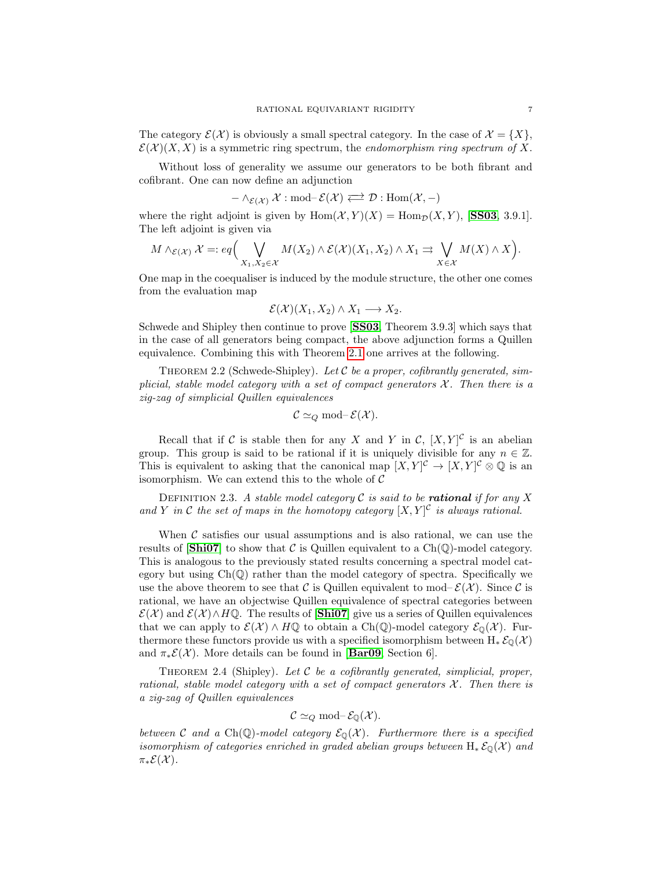<span id="page-7-0"></span>The category  $\mathcal{E}(\mathcal{X})$  is obviously a small spectral category. In the case of  $\mathcal{X} = \{X\}$ ,  $\mathcal{E}(\mathcal{X})(X, X)$  is a symmetric ring spectrum, the endomorphism ring spectrum of X.

Without loss of generality we assume our generators to be both fibrant and cofibrant. One can now define an adjunction

$$
-\wedge_{\mathcal{E}(\mathcal{X})}\mathcal{X}: \mathrm{mod-}\mathcal{E}(\mathcal{X}) \Longleftrightarrow \mathcal{D}: \mathrm{Hom}(\mathcal{X}, -)
$$

where the right adjoint is given by  $\text{Hom}(\mathcal{X}, Y)(X) = \text{Hom}_{\mathcal{D}}(X, Y)$ , [[SS03](#page-18-2), 3.9.1]. The left adjoint is given via

$$
M \wedge_{\mathcal{E}(\mathcal{X})} \mathcal{X} =: eq\Big(\bigvee_{X_1, X_2 \in \mathcal{X}} M(X_2) \wedge \mathcal{E}(\mathcal{X})(X_1, X_2) \wedge X_1 \rightrightarrows \bigvee_{X \in \mathcal{X}} M(X) \wedge X\Big).
$$

One map in the coequaliser is induced by the module structure, the other one comes from the evaluation map

$$
\mathcal{E}(\mathcal{X})(X_1, X_2) \wedge X_1 \longrightarrow X_2.
$$

Schwede and Shipley then continue to prove [[SS03](#page-18-2), Theorem 3.9.3] which says that in the case of all generators being compact, the above adjunction forms a Quillen equivalence. Combining this with Theorem [2.1](#page-5-0) one arrives at the following.

THEOREM 2.2 (Schwede-Shipley). Let C be a proper, cofibrantly generated, simplicial, stable model category with a set of compact generators  $\mathcal{X}$ . Then there is a zig-zag of simplicial Quillen equivalences

$$
C \simeq_Q \text{mod-} \mathcal{E}(\mathcal{X}).
$$

Recall that if C is stable then for any X and Y in C,  $[X, Y]$ <sup>C</sup> is an abelian group. This group is said to be rational if it is uniquely divisible for any  $n \in \mathbb{Z}$ . This is equivalent to asking that the canonical map  $[X, Y]^{\mathcal{C}} \to [X, Y]^{\mathcal{C}} \otimes \mathbb{Q}$  is an isomorphism. We can extend this to the whole of  $C$ 

DEFINITION 2.3. A stable model category  $\mathcal C$  is said to be **rational** if for any X and Y in C the set of maps in the homotopy category  $[X, Y]^{\mathcal{C}}$  is always rational.

When  $\mathcal C$  satisfies our usual assumptions and is also rational, we can use the results of  $[\text{Shi07}]$  $[\text{Shi07}]$  $[\text{Shi07}]$  to show that C is Quillen equivalent to a Ch(Q)-model category. This is analogous to the previously stated results concerning a spectral model category but using  $Ch(\mathbb{Q})$  rather than the model category of spectra. Specifically we use the above theorem to see that C is Quillen equivalent to mod– $\mathcal{E}(\mathcal{X})$ . Since C is rational, we have an objectwise Quillen equivalence of spectral categories between  $\mathcal{E}(\mathcal{X})$  and  $\mathcal{E}(\mathcal{X}) \wedge H\mathbb{Q}$ . The results of [[Shi07](#page-18-4)] give us a series of Quillen equivalences that we can apply to  $\mathcal{E}(\mathcal{X}) \wedge H\mathbb{Q}$  to obtain a Ch(Q)-model category  $\mathcal{E}_0(\mathcal{X})$ . Furthermore these functors provide us with a specified isomorphism between  $H_* \mathcal{E}_0(\mathcal{X})$ and  $\pi_*\mathcal{E}(\mathcal{X})$ . More details can be found in [[Bar09](#page-17-3), Section 6].

THEOREM 2.4 (Shipley). Let  $C$  be a cofibrantly generated, simplicial, proper, rational, stable model category with a set of compact generators  $\mathcal{X}$ . Then there is a zig-zag of Quillen equivalences

$$
C \simeq_Q \text{mod-} \mathcal{E}_{\mathbb{Q}}(\mathcal{X}).
$$

between C and a Ch(Q)-model category  $\mathcal{E}_{\mathbb{Q}}(\mathcal{X})$ . Furthermore there is a specified isomorphism of categories enriched in graded abelian groups between  $H_* \mathcal{E}_{\mathbb{Q}}(\mathcal{X})$  and  $\pi_*\mathcal{E}(\mathcal{X})$ .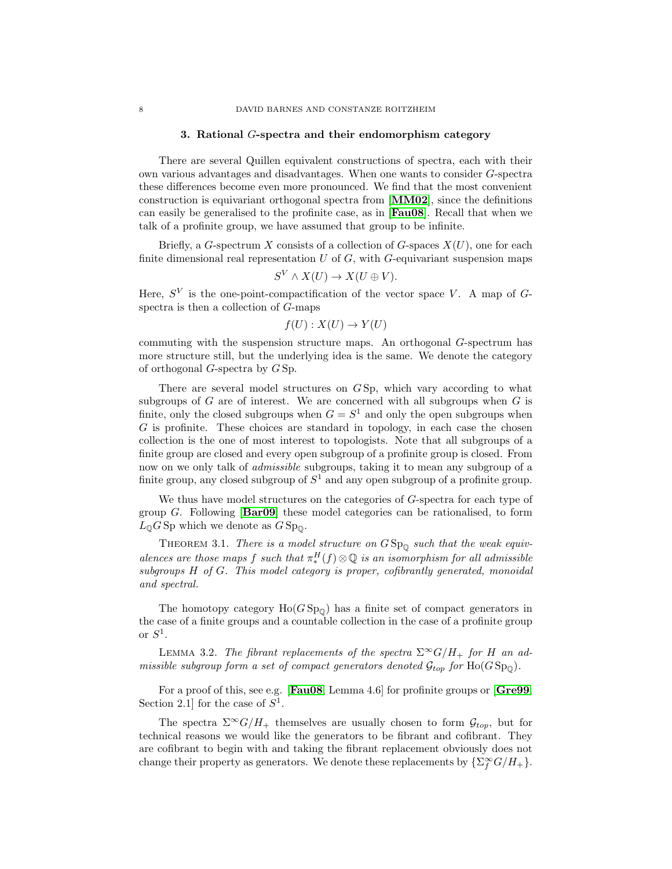#### 3. Rational G-spectra and their endomorphism category

There are several Quillen equivalent constructions of spectra, each with their own various advantages and disadvantages. When one wants to consider G-spectra these differences become even more pronounced. We find that the most convenient construction is equivariant orthogonal spectra from [[MM02](#page-17-13)], since the definitions can easily be generalised to the profinite case, as in [[Fau08](#page-17-4)]. Recall that when we talk of a profinite group, we have assumed that group to be infinite.

Briefly, a G-spectrum X consists of a collection of G-spaces  $X(U)$ , one for each finite dimensional real representation  $U$  of  $G$ , with  $G$ -equivariant suspension maps

$$
S^V \wedge X(U) \to X(U \oplus V).
$$

Here,  $S^V$  is the one-point-compactification of the vector space V. A map of Gspectra is then a collection of G-maps

$$
f(U): X(U) \to Y(U)
$$

commuting with the suspension structure maps. An orthogonal G-spectrum has more structure still, but the underlying idea is the same. We denote the category of orthogonal G-spectra by G Sp.

There are several model structures on G Sp, which vary according to what subgroups of  $G$  are of interest. We are concerned with all subgroups when  $G$  is finite, only the closed subgroups when  $G = S<sup>1</sup>$  and only the open subgroups when G is profinite. These choices are standard in topology, in each case the chosen collection is the one of most interest to topologists. Note that all subgroups of a finite group are closed and every open subgroup of a profinite group is closed. From now on we only talk of admissible subgroups, taking it to mean any subgroup of a finite group, any closed subgroup of  $S<sup>1</sup>$  and any open subgroup of a profinite group.

<span id="page-8-0"></span>We thus have model structures on the categories of G-spectra for each type of group G. Following  $\mathbf{Bar09}$  $\mathbf{Bar09}$  $\mathbf{Bar09}$  these model categories can be rationalised, to form  $L_0 G$  Sp which we denote as  $G$  Sp<sub>0</sub>.

THEOREM 3.1. There is a model structure on  $GSp_{\mathbb{Q}}$  such that the weak equivalences are those maps f such that  $\pi_*^H(f) \otimes \mathbb{Q}$  is an isomorphism for all admissible subgroups H of G. This model category is proper, cofibrantly generated, monoidal and spectral.

<span id="page-8-1"></span>The homotopy category  $Ho(GSp_{0})$  has a finite set of compact generators in the case of a finite groups and a countable collection in the case of a profinite group or  $S^1$ .

LEMMA 3.2. The fibrant replacements of the spectra  $\Sigma^{\infty}G/H_{+}$  for H an admissible subgroup form a set of compact generators denoted  $\mathcal{G}_{top}$  for  $Ho(GSp_0)$ .

For a proof of this, see e.g. [[Fau08](#page-17-4), Lemma 4.6] for profinite groups or [[Gre99](#page-17-6), Section 2.1 for the case of  $S^1$ .

The spectra  $\Sigma^{\infty}G/H_{+}$  themselves are usually chosen to form  $\mathcal{G}_{top}$ , but for technical reasons we would like the generators to be fibrant and cofibrant. They are cofibrant to begin with and taking the fibrant replacement obviously does not change their property as generators. We denote these replacements by  $\{\sum_f^{\infty} G/H_{+}\}.$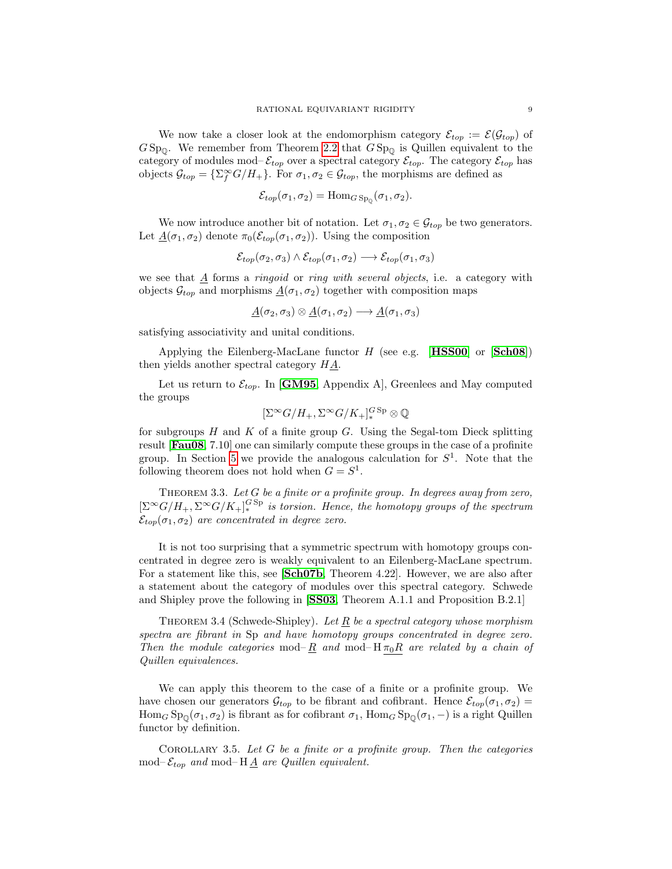<span id="page-9-1"></span>We now take a closer look at the endomorphism category  $\mathcal{E}_{top} := \mathcal{E}(\mathcal{G}_{top})$  of  $GSp_{\mathbb{Q}}$ . We remember from Theorem [2.2](#page-6-0) that  $GSp_{\mathbb{Q}}$  is Quillen equivalent to the category of modules mod– $\mathcal{E}_{top}$  over a spectral category  $\mathcal{E}_{top}$ . The category  $\mathcal{E}_{top}$  has objects  $\mathcal{G}_{top} = \{\sum_{f}^{\infty} G/H_{+}\}\.$  For  $\sigma_1, \sigma_2 \in \mathcal{G}_{top}$ , the morphisms are defined as

$$
\mathcal{E}_{top}(\sigma_1, \sigma_2) = \text{Hom}_{G \text{Sp}_0}(\sigma_1, \sigma_2).
$$

<span id="page-9-0"></span>We now introduce another bit of notation. Let  $\sigma_1, \sigma_2 \in \mathcal{G}_{top}$  be two generators. Let  $\underline{A}(\sigma_1, \sigma_2)$  denote  $\pi_0(\mathcal{E}_{top}(\sigma_1, \sigma_2))$ . Using the composition

$$
\mathcal{E}_{top}(\sigma_2, \sigma_3) \wedge \mathcal{E}_{top}(\sigma_1, \sigma_2) \longrightarrow \mathcal{E}_{top}(\sigma_1, \sigma_3)
$$

we see that  $\underline{A}$  forms a *ringoid* or *ring with several objects*, i.e. a category with objects  $\mathcal{G}_{top}$  and morphisms  $\underline{A}(\sigma_1, \sigma_2)$  together with composition maps

$$
\underline{A}(\sigma_2,\sigma_3) \otimes \underline{A}(\sigma_1,\sigma_2) \longrightarrow \underline{A}(\sigma_1,\sigma_3)
$$

satisfying associativity and unital conditions.

Applying the Eilenberg-MacLane functor  $H$  (see e.g. [**[HSS00](#page-17-9)**] or [**[Sch08](#page-18-5)**]) then yields another spectral category  $H\underline{A}$ .

Let us return to  $\mathcal{E}_{top}$ . In [[GM95](#page-17-14), Appendix A], Greenlees and May computed the groups

$$
[\Sigma^{\infty}G/H_+,\Sigma^{\infty}G/K_+]^{\smash{G\operatorname{Sp}}}_*\otimes{\mathbb Q}
$$

for subgroups  $H$  and  $K$  of a finite group  $G$ . Using the Segal-tom Dieck splitting result [[Fau08](#page-17-4), 7.10] one can similarly compute these groups in the case of a profinite group. In Section [5](#page-10-0) we provide the analogous calculation for  $S<sup>1</sup>$ . Note that the following theorem does not hold when  $G = S^1$ .

THEOREM 3.3. Let  $G$  be a finite or a profinite group. In degrees away from zero,  $\left[\Sigma^{\infty}G/H_+,\Sigma^{\infty}G/K_+\right]_{*}^{GSp}$  is torsion. Hence, the homotopy groups of the spectrum  $\mathcal{E}_{top}(\sigma_1, \sigma_2)$  are concentrated in degree zero.

It is not too surprising that a symmetric spectrum with homotopy groups concentrated in degree zero is weakly equivalent to an Eilenberg-MacLane spectrum. For a statement like this, see [[Sch07b](#page-18-6), Theorem 4.22]. However, we are also after a statement about the category of modules over this spectral category. Schwede and Shipley prove the following in [[SS03](#page-18-2), Theorem A.1.1 and Proposition B.2.1]

THEOREM 3.4 (Schwede-Shipley). Let  $R$  be a spectral category whose morphism spectra are fibrant in Sp and have homotopy groups concentrated in degree zero. Then the module categories mod– R and mod–  $H \pi_0 R$  are related by a chain of Quillen equivalences.

We can apply this theorem to the case of a finite or a profinite group. We have chosen our generators  $\mathcal{G}_{top}$  to be fibrant and cofibrant. Hence  $\mathcal{E}_{top}(\sigma_1, \sigma_2)$  $\text{Hom}_G \text{Sp}_\mathbb{Q}(\sigma_1, \sigma_2)$  is fibrant as for cofibrant  $\sigma_1$ ,  $\text{Hom}_G \text{Sp}_\mathbb{Q}(\sigma_1, -)$  is a right Quillen functor by definition.

COROLLARY 3.5. Let  $G$  be a finite or a profinite group. Then the categories mod– $\mathcal{E}_{top}$  and mod–H $\underline{A}$  are Quillen equivalent.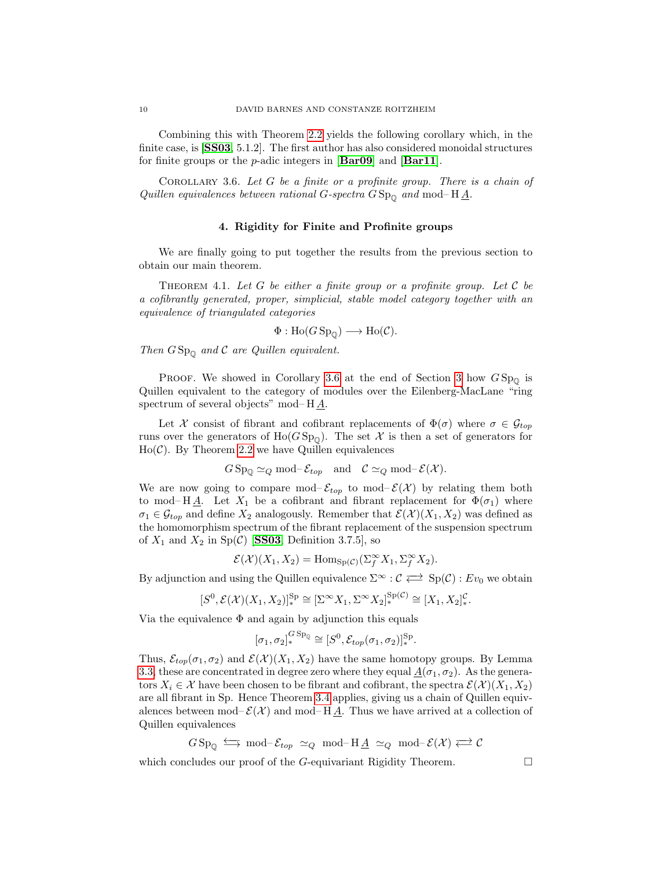Combining this with Theorem [2.2](#page-6-0) yields the following corollary which, in the finite case, is [[SS03](#page-18-2), 5.1.2]. The first author has also considered monoidal structures for finite groups or the  $p$ -adic integers in [[Bar09](#page-17-3)] and [[Bar11](#page-17-5)].

<span id="page-10-0"></span>COROLLARY 3.6. Let  $G$  be a finite or a profinite group. There is a chain of Quillen equivalences between rational G-spectra  $GSp_{\mathbb{Q}}$  and mod–  $H\underline{A}$ .

#### 4. Rigidity for Finite and Profinite groups

We are finally going to put together the results from the previous section to obtain our main theorem.

THEOREM 4.1. Let G be either a finite group or a profinite group. Let C be a cofibrantly generated, proper, simplicial, stable model category together with an equivalence of triangulated categories

$$
\Phi: \text{Ho}(G\operatorname{Sp}_{\mathbb{Q}}) \longrightarrow \text{Ho}(\mathcal{C}).
$$

Then  $GSp_{\mathbb{Q}}$  and  $\mathcal C$  are Quillen equivalent.

PROOF. We showed in Corollary [3.6](#page-9-1) at the end of Section [3](#page-7-0) how  $GSp_{0}$  is Quillen equivalent to the category of modules over the Eilenberg-MacLane "ring spectrum of several objects" mod– H A.

Let X consist of fibrant and cofibrant replacements of  $\Phi(\sigma)$  where  $\sigma \in \mathcal{G}_{top}$ runs over the generators of  $Ho(GSp_0)$ . The set X is then a set of generators for  $Ho(\mathcal{C})$ . By Theorem [2.2](#page-6-0) we have Quillen equivalences

$$
G \text{Sp}_{\mathbb{Q}} \simeq_Q \text{mod-} \mathcal{E}_{top} \text{ and } \mathcal{C} \simeq_Q \text{mod-} \mathcal{E}(\mathcal{X}).
$$

We are now going to compare mod– $\mathcal{E}_{top}$  to mod– $\mathcal{E}(\mathcal{X})$  by relating them both to mod– H $\underline{A}$ . Let  $X_1$  be a cofibrant and fibrant replacement for  $\Phi(\sigma_1)$  where  $\sigma_1 \in \mathcal{G}_{top}$  and define  $X_2$  analogously. Remember that  $\mathcal{E}(\mathcal{X})(X_1, X_2)$  was defined as the homomorphism spectrum of the fibrant replacement of the suspension spectrum of  $X_1$  and  $X_2$  in  $Sp(\mathcal{C})$  [[SS03](#page-18-2), Definition 3.7.5], so

$$
\mathcal{E}(\mathcal{X})(X_1, X_2) = \text{Hom}_{\text{Sp}(\mathcal{C})}(\Sigma_f^{\infty} X_1, \Sigma_f^{\infty} X_2).
$$

By adjunction and using the Quillen equivalence  $\Sigma^{\infty} : \mathcal{C} \implies Sp(\mathcal{C}) : Ev_0$  we obtain

$$
[S^0, \mathcal{E}(\mathcal{X})(X_1, X_2)]_*^{\text{Sp}} \cong [\Sigma^\infty X_1, \Sigma^\infty X_2]_*^{\text{Sp}(\mathcal{C})} \cong [X_1, X_2]_*^{\mathcal{C}}.
$$

Via the equivalence  $\Phi$  and again by adjunction this equals

$$
[\sigma_1, \sigma_2]_*^{GSp_{\mathbb{Q}}}\cong [S^0, \mathcal{E}_{top}(\sigma_1, \sigma_2)]_*^{Sp}.
$$

Thus,  $\mathcal{E}_{top}(\sigma_1, \sigma_2)$  and  $\mathcal{E}(\mathcal{X})(X_1, X_2)$  have the same homotopy groups. By Lemma [3.3,](#page-8-0) these are concentrated in degree zero where they equal  $\underline{A}(\sigma_1, \sigma_2)$ . As the generators  $X_i \in \mathcal{X}$  have been chosen to be fibrant and cofibrant, the spectra  $\mathcal{E}(\mathcal{X})(X_1, X_2)$ are all fibrant in Sp. Hence Theorem [3.4](#page-8-1) applies, giving us a chain of Quillen equivalences between mod– $\mathcal{E}(\mathcal{X})$  and mod–H $\underline{A}$ . Thus we have arrived at a collection of Quillen equivalences

$$
GSp_{\mathbb{Q}} \iff \text{mod-} \mathcal{E}_{top} \simeq_Q \text{mod-} \mathbb{H} \underline{A} \simeq_Q \text{mod-} \mathcal{E}(\mathcal{X}) \Longleftrightarrow \mathcal{C}
$$

which concludes our proof of the G-equivariant Rigidity Theorem.  $\Box$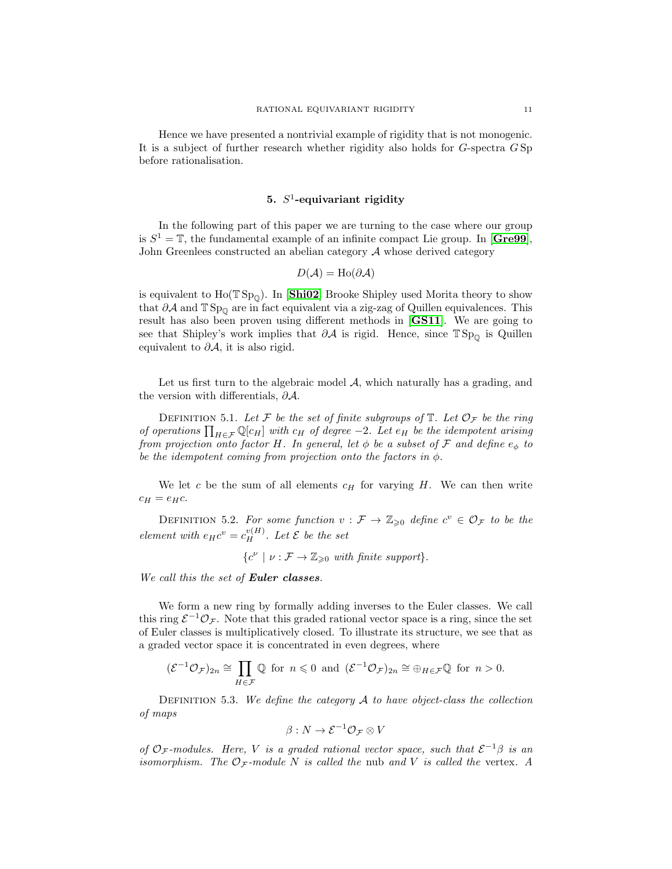#### 5.  $S^1$ -equivariant rigidity

In the following part of this paper we are turning to the case where our group is  $S^1 = \mathbb{T}$ , the fundamental example of an infinite compact Lie group. In [[Gre99](#page-17-6)], John Greenlees constructed an abelian category  $A$  whose derived category

$$
D(\mathcal{A}) = \text{Ho}(\partial \mathcal{A})
$$

is equivalent to  $Ho(TSp_{\mathbb{O}})$ . In [[Shi02](#page-18-7)] Brooke Shipley used Morita theory to show that  $\partial A$  and  $\mathbb{T}$  Sp<sub>①</sub> are in fact equivalent via a zig-zag of Quillen equivalences. This result has also been proven using different methods in [[GS11](#page-17-15)]. We are going to see that Shipley's work implies that  $\partial A$  is rigid. Hence, since  $\mathbb{TSp}_{\mathbb{Q}}$  is Quillen equivalent to  $\partial A$ , it is also rigid.

Let us first turn to the algebraic model  $A$ , which naturally has a grading, and the version with differentials,  $\partial A$ .

DEFINITION 5.1. Let F be the set of finite subgroups of  $\mathbb T$ . Let  $\mathcal O_{\mathcal F}$  be the ring of operations  $\prod_{H \in \mathcal{F}} \mathbb{Q}[c_H]$  with  $c_H$  of degree  $-2$ . Let  $e_H$  be the idempotent arising from projection onto factor H. In general, let  $\phi$  be a subset of F and define  $e_{\phi}$  to be the idempotent coming from projection onto the factors in  $\phi$ .

We let  $c$  be the sum of all elements  $c_H$  for varying  $H$ . We can then write  $c_H = e_H c$ .

DEFINITION 5.2. For some function  $v : \mathcal{F} \to \mathbb{Z}_{\geqslant 0}$  define  $c^v \in \mathcal{O}_{\mathcal{F}}$  to be the element with  $e_H c^v = c_H^{v(H)}$ . Let  $\mathcal E$  be the set

$$
\{c^{\nu} \mid \nu : \mathcal{F} \to \mathbb{Z}_{\geq 0} \text{ with finite support}\}.
$$

We call this the set of **Euler classes**.

We form a new ring by formally adding inverses to the Euler classes. We call this ring  $\mathcal{E}^{-1}\mathcal{O}_{\mathcal{F}}$ . Note that this graded rational vector space is a ring, since the set of Euler classes is multiplicatively closed. To illustrate its structure, we see that as a graded vector space it is concentrated in even degrees, where

$$
(\mathcal{E}^{-1}\mathcal{O}_{\mathcal{F}})_{2n} \cong \prod_{H \in \mathcal{F}} \mathbb{Q} \text{ for } n \leq 0 \text{ and } (\mathcal{E}^{-1}\mathcal{O}_{\mathcal{F}})_{2n} \cong \bigoplus_{H \in \mathcal{F}} \mathbb{Q} \text{ for } n > 0.
$$

DEFINITION 5.3. We define the category  $A$  to have object-class the collection of maps

$$
\beta: N \to \mathcal{E}^{-1} \mathcal{O}_{\mathcal{F}} \otimes V
$$

of  $\mathcal{O}_{\mathcal{F}}$ -modules. Here, V is a graded rational vector space, such that  $\mathcal{E}^{-1}\beta$  is an isomorphism. The  $\mathcal{O}_F$ -module N is called the nub and V is called the vertex. A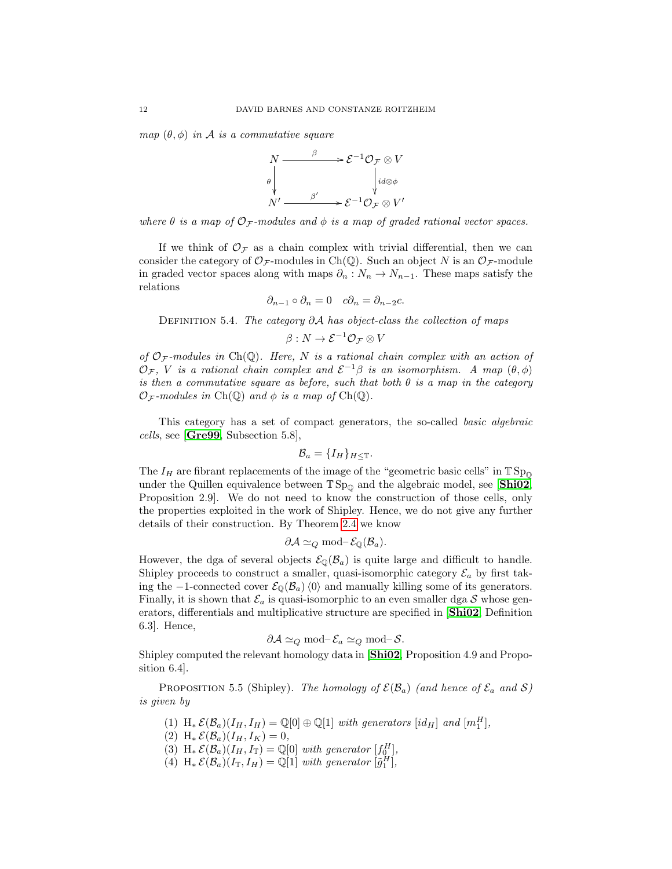map  $(\theta, \phi)$  in A is a commutative square



where  $\theta$  is a map of  $\mathcal{O}_{\mathcal{F}}$ -modules and  $\phi$  is a map of graded rational vector spaces.

If we think of  $\mathcal{O}_{\mathcal{F}}$  as a chain complex with trivial differential, then we can consider the category of  $\mathcal{O}_{\mathcal{F}}$ -modules in Ch(Q). Such an object N is an  $\mathcal{O}_{\mathcal{F}}$ -module in graded vector spaces along with maps  $\partial_n : N_n \to N_{n-1}$ . These maps satisfy the relations

$$
\partial_{n-1} \circ \partial_n = 0 \quad c \partial_n = \partial_{n-2} c.
$$

DEFINITION 5.4. The category ∂A has object-class the collection of maps

$$
\beta:N\to\mathcal{E}^{-1}\mathcal{O}_{\mathcal{F}}\otimes V
$$

of  $\mathcal{O}_{\mathcal{F}}$ -modules in Ch(Q). Here, N is a rational chain complex with an action of  $\mathcal{O}_{\mathcal{F}}$ , V is a rational chain complex and  $\mathcal{E}^{-1}\beta$  is an isomorphism. A map  $(\theta, \phi)$ is then a commutative square as before, such that both  $\theta$  is a map in the category  $\mathcal{O}_{\mathcal{F}}$ -modules in Ch(Q) and  $\phi$  is a map of Ch(Q).

This category has a set of compact generators, the so-called basic algebraic cells, see [[Gre99](#page-17-6), Subsection 5.8],

$$
\mathcal{B}_a = \{I_H\}_{H \leq \mathbb{T}}.
$$

The  $I_H$  are fibrant replacements of the image of the "geometric basic cells" in  $TSp_0$ under the Quillen equivalence between  $T Sp_{\mathbb{Q}}$  and the algebraic model, see [[Shi02](#page-18-7), Proposition 2.9]. We do not need to know the construction of those cells, only the properties exploited in the work of Shipley. Hence, we do not give any further details of their construction. By Theorem [2.4](#page-6-1) we know

$$
\partial \mathcal{A} \simeq_Q \text{mod-} \mathcal{E}_{\mathbb{Q}}(\mathcal{B}_a).
$$

However, the dga of several objects  $\mathcal{E}_{\mathbb{Q}}(\mathcal{B}_a)$  is quite large and difficult to handle. Shipley proceeds to construct a smaller, quasi-isomorphic category  $\mathcal{E}_a$  by first taking the −1-connected cover  $\mathcal{E}_{\mathbb{Q}}(\mathcal{B}_a)\langle 0 \rangle$  and manually killing some of its generators. Finally, it is shown that  $\mathcal{E}_a$  is quasi-isomorphic to an even smaller dga S whose generators, differentials and multiplicative structure are specified in [[Shi02](#page-18-7), Definition 6.3]. Hence,

$$
\partial \mathcal{A} \simeq_Q \text{mod-} \mathcal{E}_a \simeq_Q \text{mod-} \mathcal{S}.
$$

Shipley computed the relevant homology data in [[Shi02](#page-18-7), Proposition 4.9 and Proposition 6.4].

PROPOSITION 5.5 (Shipley). The homology of  $\mathcal{E}(\mathcal{B}_a)$  (and hence of  $\mathcal{E}_a$  and  $\mathcal{S}$ ) is given by

- (1)  $H_*\mathcal{E}(\mathcal{B}_a)(I_H, I_H) = \mathbb{Q}[0] \oplus \mathbb{Q}[1]$  with generators  $(id_H]$  and  $[m_1^H]$ ,
- (2) H<sub>\*</sub>  $\mathcal{E}(\mathcal{B}_a)(I_H, I_K) = 0$ ,
- (3)  $H_* \mathcal{E}(\mathcal{B}_a)(I_H, I_{\mathbb{T}}) = \mathbb{Q}[0]$  with generator  $[f_0^H]$ ,
- (4)  $H_*\mathcal{E}(\mathcal{B}_a)(I_{\mathbb{T}}, I_H) = \mathbb{Q}[1]$  with generator  $[\tilde{g}_1^H]$ ,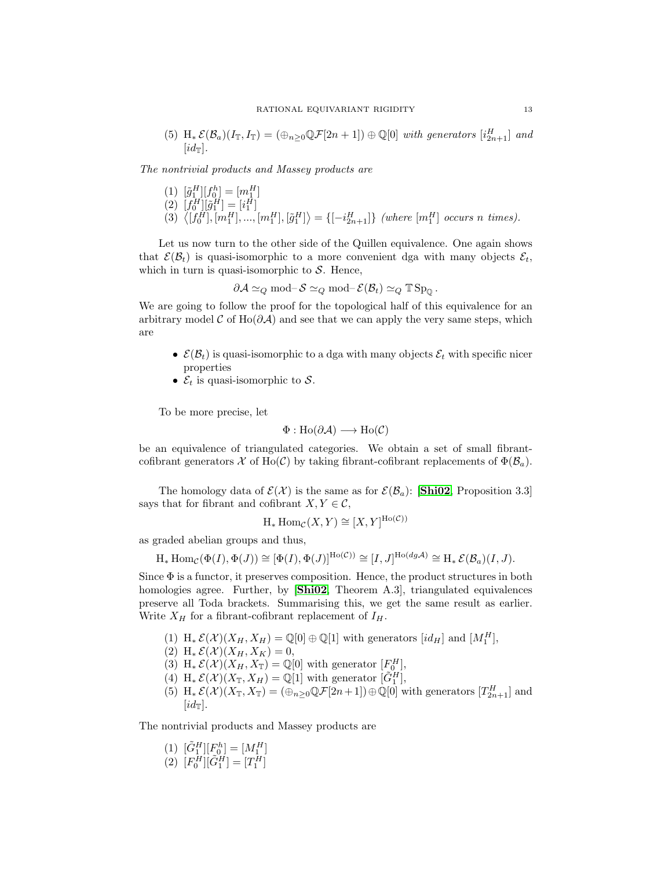(5)  $H_*\mathcal{E}(\mathcal{B}_a)(I_{\mathbb{T}}, I_{\mathbb{T}}) = (\bigoplus_{n\geq 0} \mathbb{Q} \mathcal{F}[2n+1]) \oplus \mathbb{Q}[0]$  with generators  $[i_{2n+1}^H]$  and  $(id_{\mathbb{T}}).$ 

The nontrivial products and Massey products are

(1)  $[\tilde{g}_1^H][f_0^h] = [m_1^H]$ (2)  $[f_0^H][\tilde{g}_1^H] = [i_1^H]$ (3)  $\langle [f_0^H], [m_1^H], ..., [m_1^H], [\tilde{g}_1^H] \rangle = \{ [-i_{2n+1}^H] \}$  (where  $[m_1^H]$  occurs n times).

Let us now turn to the other side of the Quillen equivalence. One again shows that  $\mathcal{E}(\mathcal{B}_t)$  is quasi-isomorphic to a more convenient dga with many objects  $\mathcal{E}_t$ , which in turn is quasi-isomorphic to  $S$ . Hence,

$$
\partial \mathcal{A} \simeq_Q \text{mod-} \mathcal{S} \simeq_Q \text{mod-} \mathcal{E}(\mathcal{B}_t) \simeq_Q \mathbb{T} \operatorname{Sp}_\mathbb{Q}.
$$

We are going to follow the proof for the topological half of this equivalence for an arbitrary model  $\mathcal C$  of Ho( $\partial \mathcal A$ ) and see that we can apply the very same steps, which are

- $\mathcal{E}(\mathcal{B}_t)$  is quasi-isomorphic to a dga with many objects  $\mathcal{E}_t$  with specific nicer properties
- $\mathcal{E}_t$  is quasi-isomorphic to  $\mathcal{S}$ .

To be more precise, let

$$
\Phi: Ho(\partial \mathcal{A}) \longrightarrow Ho(\mathcal{C})
$$

be an equivalence of triangulated categories. We obtain a set of small fibrantcofibrant generators X of Ho(C) by taking fibrant-cofibrant replacements of  $\Phi(\mathcal{B}_a)$ .

The homology data of  $\mathcal{E}(\mathcal{X})$  is the same as for  $\mathcal{E}(\mathcal{B}_a)$ : [[Shi02](#page-18-7), Proposition 3.3] says that for fibrant and cofibrant  $X, Y \in \mathcal{C}$ ,

$$
H_*
$$
 Hom $c(X, Y) \cong [X, Y]^{Ho(\mathcal{C})}$ 

as graded abelian groups and thus,

$$
\mathrm{H}_* \operatorname{Hom}_{\mathcal{C}}(\Phi(I), \Phi(J)) \cong [\Phi(I), \Phi(J)]^{\mathrm{Ho}(\mathcal{C})} \cong [I, J]^{\mathrm{Ho}(dg,\mathcal{A})} \cong \mathrm{H}_* \mathcal{E}(\mathcal{B}_a)(I, J).
$$

<span id="page-13-0"></span>Since  $\Phi$  is a functor, it preserves composition. Hence, the product structures in both homologies agree. Further, by [[Shi02](#page-18-7), Theorem A.3], triangulated equivalences preserve all Toda brackets. Summarising this, we get the same result as earlier. Write  $X_H$  for a fibrant-cofibrant replacement of  $I_H$ .

- (1)  $H_*\mathcal{E}(\mathcal{X})(X_H, X_H) = \mathbb{Q}[0] \oplus \mathbb{Q}[1]$  with generators  $(id_H]$  and  $[M_1^H]$ ,
- (2)  $H_* \mathcal{E}(\mathcal{X})(X_H, X_K) = 0,$
- (3) H<sub>\*</sub>  $\mathcal{E}(\mathcal{X})(X_H, X_{\mathbb{T}}) = \mathbb{Q}[0]$  with generator  $[F_0^H]$ ,
- (4)  $H_*\mathcal{E}(\mathcal{X})(X_{\mathbb{T}}, X_H) = \mathbb{Q}[1]$  with generator  $[\tilde{G}_1^H]$ ,
- (5)  $H_*\mathcal{E}(\mathcal{X})(X_{\mathbb{T}}, X_{\mathbb{T}}) = (\bigoplus_{n\geq 0} \mathbb{Q}\mathcal{F}[2n+1]) \oplus \mathbb{Q}[0]$  with generators  $[T_{2n+1}^H]$  and  $(id_{\mathbb{T}}).$

The nontrivial products and Massey products are

- (1)  $[\tilde{G}_1^H][F_0^h] = [M_1^H]$
- (2)  $[F_0^H][\tilde{G}_1^H] = [T_1^H]$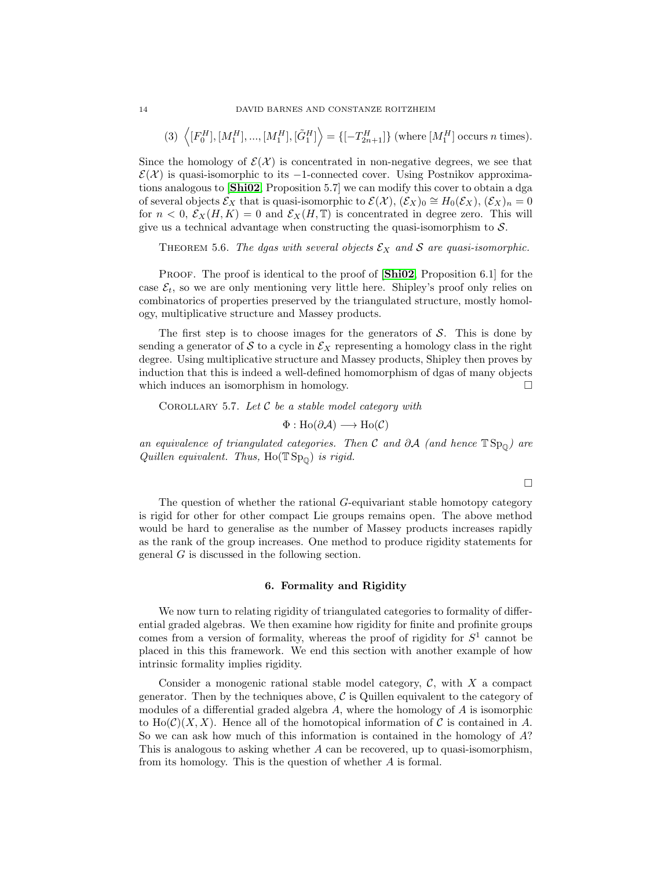(3) 
$$
\langle [F_0^H], [M_1^H], ..., [M_1^H], [\tilde{G}_1^H] \rangle = \{ [-T_{2n+1}^H] \}
$$
 (where  $[M_1^H]$  occurs *n* times).

Since the homology of  $\mathcal{E}(\mathcal{X})$  is concentrated in non-negative degrees, we see that  $\mathcal{E}(\mathcal{X})$  is quasi-isomorphic to its -1-connected cover. Using Postnikov approximations analogous to [[Shi02](#page-18-7), Proposition 5.7] we can modify this cover to obtain a dga of several objects  $\mathcal{E}_X$  that is quasi-isomorphic to  $\mathcal{E}(\mathcal{X}), (\mathcal{E}_X)_0 \cong H_0(\mathcal{E}_X), (\mathcal{E}_X)_n = 0$ for  $n < 0$ ,  $\mathcal{E}_X(H, K) = 0$  and  $\mathcal{E}_X(H, \mathbb{T})$  is concentrated in degree zero. This will give us a technical advantage when constructing the quasi-isomorphism to  $S$ .

THEOREM 5.6. The dgas with several objects  $\mathcal{E}_X$  and S are quasi-isomorphic.

PROOF. The proof is identical to the proof of  $[\textbf{Shi02}, \text{Proposition 6.1}]$  $[\textbf{Shi02}, \text{Proposition 6.1}]$  $[\textbf{Shi02}, \text{Proposition 6.1}]$  for the case  $\mathcal{E}_t$ , so we are only mentioning very little here. Shipley's proof only relies on combinatorics of properties preserved by the triangulated structure, mostly homology, multiplicative structure and Massey products.

The first step is to choose images for the generators of  $S$ . This is done by sending a generator of S to a cycle in  $\mathcal{E}_X$  representing a homology class in the right degree. Using multiplicative structure and Massey products, Shipley then proves by induction that this is indeed a well-defined homomorphism of dgas of many objects which induces an isomorphism in homology.

COROLLARY 5.7. Let  $C$  be a stable model category with

$$
\Phi: \text{Ho}(\partial \mathcal{A}) \longrightarrow \text{Ho}(\mathcal{C})
$$

an equivalence of triangulated categories. Then C and  $\partial A$  (and hence  $TSp_{0}$ ) are Quillen equivalent. Thus,  $Ho(TSp_{\mathbb{Q}})$  is rigid.

 $\Box$ 

The question of whether the rational G-equivariant stable homotopy category is rigid for other for other compact Lie groups remains open. The above method would be hard to generalise as the number of Massey products increases rapidly as the rank of the group increases. One method to produce rigidity statements for general G is discussed in the following section.

#### 6. Formality and Rigidity

We now turn to relating rigidity of triangulated categories to formality of differential graded algebras. We then examine how rigidity for finite and profinite groups comes from a version of formality, whereas the proof of rigidity for  $S<sup>1</sup>$  cannot be placed in this this framework. We end this section with another example of how intrinsic formality implies rigidity.

Consider a monogenic rational stable model category,  $\mathcal{C}$ , with X a compact generator. Then by the techniques above,  $\mathcal C$  is Quillen equivalent to the category of modules of a differential graded algebra  $A$ , where the homology of  $A$  is isomorphic to  $\text{Ho}(\mathcal{C})(X, X)$ . Hence all of the homotopical information of C is contained in A. So we can ask how much of this information is contained in the homology of A? This is analogous to asking whether  $A$  can be recovered, up to quasi-isomorphism, from its homology. This is the question of whether A is formal.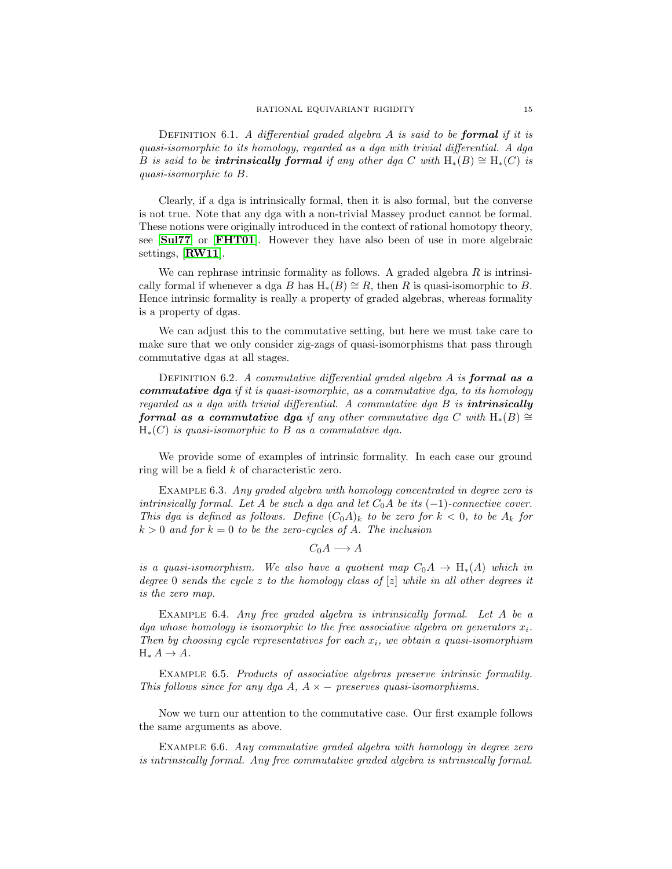DEFINITION 6.1. A differential graded algebra  $A$  is said to be **formal** if it is quasi-isomorphic to its homology, regarded as a dga with trivial differential. A dga B is said to be **intrinsically formal** if any other dga C with  $H_*(B) \cong H_*(C)$  is quasi-isomorphic to B.

Clearly, if a dga is intrinsically formal, then it is also formal, but the converse is not true. Note that any dga with a non-trivial Massey product cannot be formal. These notions were originally introduced in the context of rational homotopy theory, see [[Sul77](#page-18-8)] or [[FHT01](#page-17-16)]. However they have also been of use in more algebraic settings, [[RW11](#page-18-9)].

We can rephrase intrinsic formality as follows. A graded algebra  $R$  is intrinsically formal if whenever a dga B has  $H_*(B) \cong R$ , then R is quasi-isomorphic to B. Hence intrinsic formality is really a property of graded algebras, whereas formality is a property of dgas.

We can adjust this to the commutative setting, but here we must take care to make sure that we only consider zig-zags of quasi-isomorphisms that pass through commutative dgas at all stages.

DEFINITION 6.2. A commutative differential graded algebra  $A$  is **formal as a commutative dga** if it is quasi-isomorphic, as a commutative dga, to its homology regarded as a dga with trivial differential. A commutative dga  $B$  is **intrinsically** formal as a commutative dga if any other commutative dga C with  $H_*(B) \cong$  $H_*(C)$  is quasi-isomorphic to B as a commutative dga.

We provide some of examples of intrinsic formality. In each case our ground ring will be a field k of characteristic zero.

EXAMPLE 6.3. Any graded algebra with homology concentrated in degree zero is intrinsically formal. Let A be such a dga and let  $C_0A$  be its  $(-1)$ -connective cover. This dga is defined as follows. Define  $(C_0A)_k$  to be zero for  $k < 0$ , to be  $A_k$  for  $k > 0$  and for  $k = 0$  to be the zero-cycles of A. The inclusion

 $C_0A \longrightarrow A$ 

is a quasi-isomorphism. We also have a quotient map  $C_0A \rightarrow H_*(A)$  which in degree 0 sends the cycle z to the homology class of  $[z]$  while in all other degrees it is the zero map.

EXAMPLE 6.4. Any free graded algebra is intrinsically formal. Let A be a dga whose homology is isomorphic to the free associative algebra on generators  $x_i$ . Then by choosing cycle representatives for each  $x_i$ , we obtain a quasi-isomorphism  $H_* A \rightarrow A$ .

Example 6.5. Products of associative algebras preserve intrinsic formality. This follows since for any dga A,  $A \times -$  preserves quasi-isomorphisms.

Now we turn our attention to the commutative case. Our first example follows the same arguments as above.

Example 6.6. Any commutative graded algebra with homology in degree zero is intrinsically formal. Any free commutative graded algebra is intrinsically formal.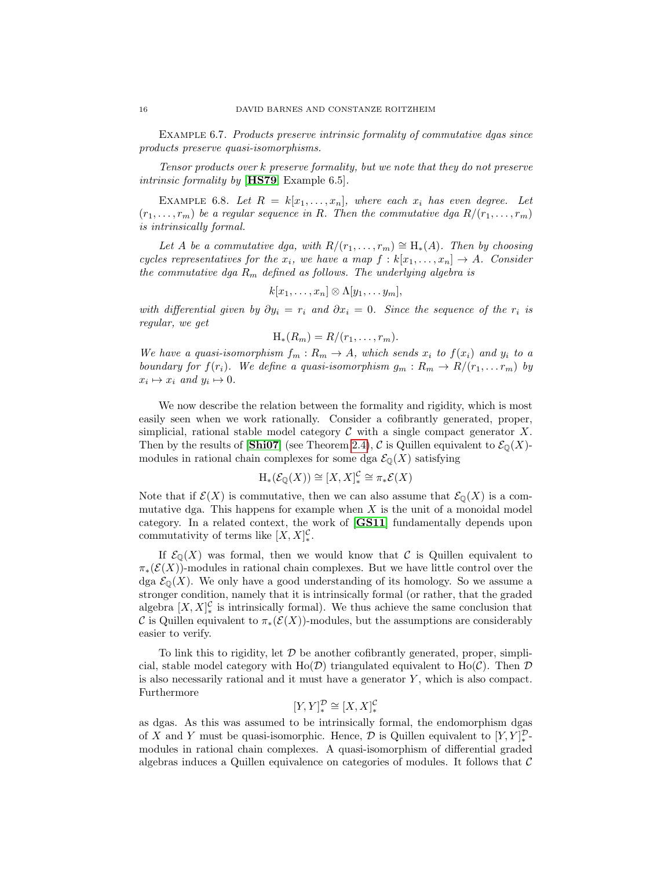Example 6.7. Products preserve intrinsic formality of commutative dgas since products preserve quasi-isomorphisms.

Tensor products over k preserve formality, but we note that they do not preserve intrinsic formality by [**[HS79](#page-17-17)**, Example 6.5].

EXAMPLE 6.8. Let  $R = k[x_1, \ldots, x_n]$ , where each  $x_i$  has even degree. Let  $(r_1, \ldots, r_m)$  be a regular sequence in R. Then the commutative dga  $R/(r_1, \ldots, r_m)$ is intrinsically formal.

Let A be a commutative dga, with  $R/(r_1, \ldots, r_m) \cong H_*(A)$ . Then by choosing cycles representatives for the  $x_i$ , we have a map  $f : k[x_1, \ldots, x_n] \to A$ . Consider the commutative dga  $R_m$  defined as follows. The underlying algebra is

$$
k[x_1,\ldots,x_n]\otimes\Lambda[y_1,\ldots,y_m],
$$

with differential given by  $\partial y_i = r_i$  and  $\partial x_i = 0$ . Since the sequence of the  $r_i$  is regular, we get

$$
H_*(R_m) = R/(r_1,\ldots,r_m).
$$

We have a quasi-isomorphism  $f_m: R_m \to A$ , which sends  $x_i$  to  $f(x_i)$  and  $y_i$  to a boundary for  $f(r_i)$ . We define a quasi-isomorphism  $g_m: R_m \to R/(r_1, \ldots r_m)$  by  $x_i \mapsto x_i$  and  $y_i \mapsto 0$ .

We now describe the relation between the formality and rigidity, which is most easily seen when we work rationally. Consider a cofibrantly generated, proper, simplicial, rational stable model category  $\mathcal C$  with a single compact generator  $X$ . Then by the results of  $[\textbf{Shi07}]$  $[\textbf{Shi07}]$  $[\textbf{Shi07}]$  (see Theorem [2.4\)](#page-6-1), C is Quillen equivalent to  $\mathcal{E}_0(X)$ modules in rational chain complexes for some dga  $\mathcal{E}_{\mathbb{Q}}(X)$  satisfying

$$
\mathrm{H}_*(\mathcal{E}_{\mathbb{Q}}(X)) \cong [X,X]_*^{\mathcal{C}} \cong \pi_*\mathcal{E}(X)
$$

Note that if  $\mathcal{E}(X)$  is commutative, then we can also assume that  $\mathcal{E}_{\mathbb{Q}}(X)$  is a commutative dga. This happens for example when  $X$  is the unit of a monoidal model category. In a related context, the work of [[GS11](#page-17-15)] fundamentally depends upon commutativity of terms like  $[X, X]_{\ast}^{\mathcal{C}}$ .

If  $\mathcal{E}_{\mathbb{Q}}(X)$  was formal, then we would know that C is Quillen equivalent to  $\pi_*(\mathcal{E}(X))$ -modules in rational chain complexes. But we have little control over the dga  $\mathcal{E}_{\Omega}(X)$ . We only have a good understanding of its homology. So we assume a stronger condition, namely that it is intrinsically formal (or rather, that the graded algebra  $[X, X]_{\ast}^{\mathcal{C}}$  is intrinsically formal). We thus achieve the same conclusion that C is Quillen equivalent to  $\pi_*(\mathcal{E}(X))$ -modules, but the assumptions are considerably easier to verify.

To link this to rigidity, let  $\mathcal D$  be another cofibrantly generated, proper, simplicial, stable model category with Ho( $\mathcal{D}$ ) triangulated equivalent to Ho( $\mathcal{C}$ ). Then  $\mathcal{D}$ is also necessarily rational and it must have a generator  $Y$ , which is also compact. Furthermore

$$
[Y,Y]^{\mathcal{D}}_* \cong [X,X]^{\mathcal{C}}_*
$$

as dgas. As this was assumed to be intrinsically formal, the endomorphism dgas of X and Y must be quasi-isomorphic. Hence,  $\mathcal D$  is Quillen equivalent to  $[Y, Y]_{*}^{\mathcal D}$ . modules in rational chain complexes. A quasi-isomorphism of differential graded algebras induces a Quillen equivalence on categories of modules. It follows that  $\mathcal C$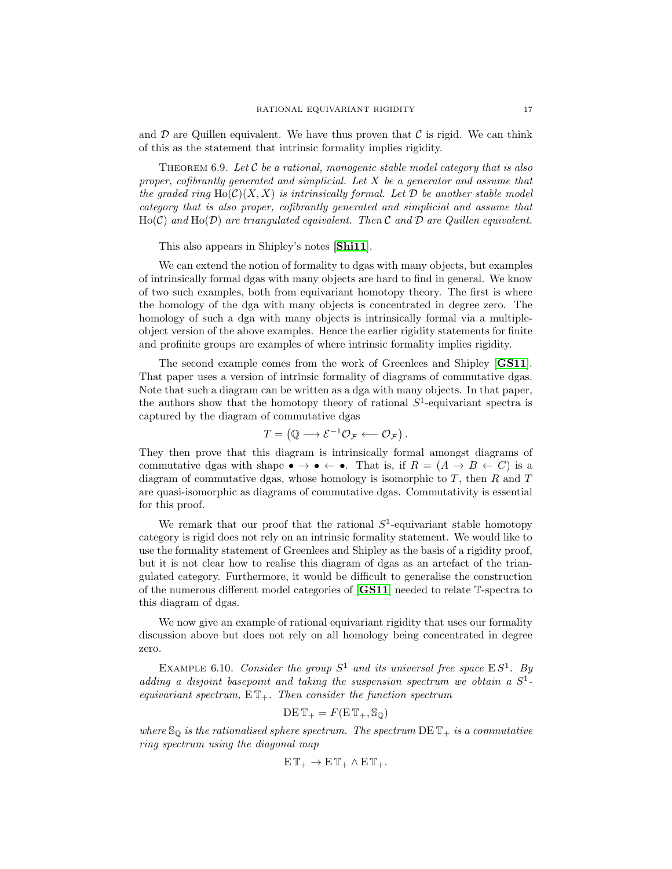and  $\mathcal D$  are Quillen equivalent. We have thus proven that  $\mathcal C$  is rigid. We can think of this as the statement that intrinsic formality implies rigidity.

THEOREM 6.9. Let  $\mathcal C$  be a rational, monogenic stable model category that is also proper, cofibrantly generated and simplicial. Let  $X$  be a generator and assume that the graded ring  $\text{Ho}(\mathcal{C})(X,X)$  is intrinsically formal. Let D be another stable model category that is also proper, cofibrantly generated and simplicial and assume that  $Ho(\mathcal{C})$  and  $Ho(\mathcal{D})$  are triangulated equivalent. Then C and D are Quillen equivalent.

This also appears in Shipley's notes [[Shi11](#page-18-10)].

We can extend the notion of formality to dgas with many objects, but examples of intrinsically formal dgas with many objects are hard to find in general. We know of two such examples, both from equivariant homotopy theory. The first is where the homology of the dga with many objects is concentrated in degree zero. The homology of such a dga with many objects is intrinsically formal via a multipleobject version of the above examples. Hence the earlier rigidity statements for finite and profinite groups are examples of where intrinsic formality implies rigidity.

<span id="page-17-3"></span>The second example comes from the work of Greenlees and Shipley [[GS11](#page-17-15)]. That paper uses a version of intrinsic formality of diagrams of commutative dgas. Note that such a diagram can be written as a dga with many objects. In that paper, the authors show that the homotopy theory of rational  $S^1$ -equivariant spectra is captured by the diagram of commutative dgas

$$
T = (\mathbb{Q} \longrightarrow \mathcal{E}^{-1} \mathcal{O}_{\mathcal{F}} \longleftarrow \mathcal{O}_{\mathcal{F}}).
$$

<span id="page-17-12"></span><span id="page-17-7"></span><span id="page-17-5"></span><span id="page-17-4"></span>They then prove that this diagram is intrinsically formal amongst diagrams of commutative dgas with shape  $\bullet \to \bullet \leftarrow \bullet$ . That is, if  $R = (A \to B \leftarrow C)$  is a diagram of commutative dgas, whose homology is isomorphic to  $T$ , then  $R$  and  $T$ are quasi-isomorphic as diagrams of commutative dgas. Commutativity is essential for this proof.

<span id="page-17-16"></span><span id="page-17-14"></span><span id="page-17-6"></span><span id="page-17-1"></span>We remark that our proof that the rational  $S^1$ -equivariant stable homotopy category is rigid does not rely on an intrinsic formality statement. We would like to use the formality statement of Greenlees and Shipley as the basis of a rigidity proof, but it is not clear how to realise this diagram of dgas as an artefact of the triangulated category. Furthermore, it would be difficult to generalise the construction of the numerous different model categories of [[GS11](#page-17-15)] needed to relate T-spectra to this diagram of dgas.

<span id="page-17-15"></span><span id="page-17-11"></span><span id="page-17-8"></span>We now give an example of rational equivariant rigidity that uses our formality discussion above but does not rely on all homology being concentrated in degree zero.

<span id="page-17-17"></span><span id="page-17-10"></span><span id="page-17-9"></span>EXAMPLE 6.10. Consider the group  $S^1$  and its universal free space  $ES^1$ . By adding a disjoint basepoint and taking the suspension spectrum we obtain a  $S^1$ equivariant spectrum,  $E\mathbb{T}_{+}$ . Then consider the function spectrum

$$
DE\,\mathbb{T}_+ = F(E\,\mathbb{T}_+,\mathbb{S}_{\mathbb{Q}})
$$

<span id="page-17-13"></span><span id="page-17-2"></span><span id="page-17-0"></span>where  $\mathcal{S}_{\mathbb{Q}}$  is the rationalised sphere spectrum. The spectrum DE  $\mathbb{T}_+$  is a commutative ring spectrum using the diagonal map

$$
E\,\mathbb{T}_+\to E\,\mathbb{T}_+\wedge E\,\mathbb{T}_+.
$$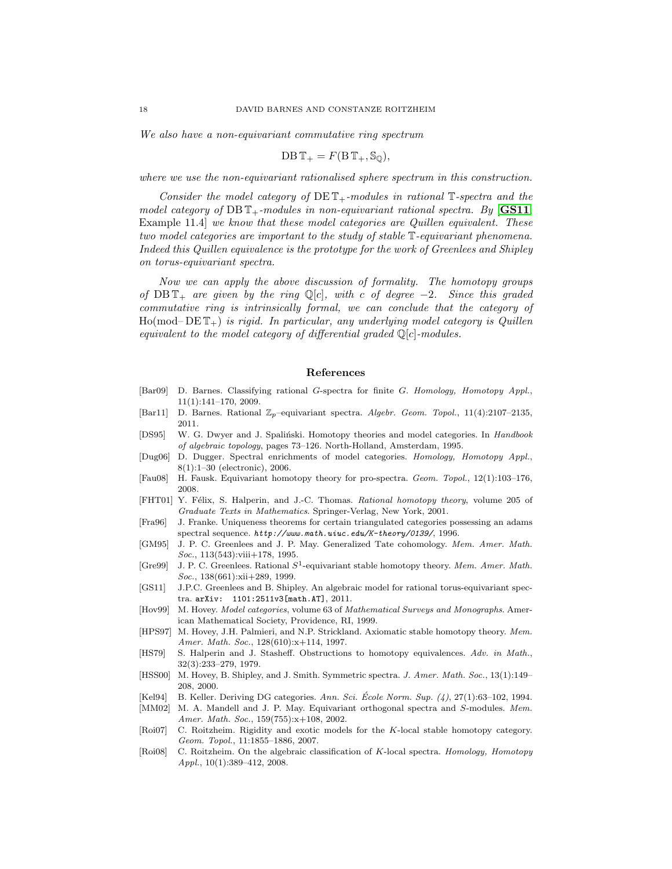<span id="page-18-9"></span><span id="page-18-3"></span>We also have a non-equivariant commutative ring spectrum

$$
DB\,\mathbb{T}_+ = F(B\,\mathbb{T}_+,\mathbb{S}_{\mathbb{Q}}),
$$

<span id="page-18-1"></span>where we use the non-equivariant rationalised sphere spectrum in this construction.

<span id="page-18-6"></span><span id="page-18-5"></span>Consider the model category of  $DEFed{DET}_+$ -modules in rational T-spectra and the model category of DB  $\mathbb{T}_+$ -modules in non-equivariant rational spectra. By [[GS11](#page-17-15), Example 11.4] we know that these model categories are Quillen equivalent. These two model categories are important to the study of stable T-equivariant phenomena. Indeed this Quillen equivalence is the prototype for the work of Greenlees and Shipley on torus-equivariant spectra.

<span id="page-18-10"></span><span id="page-18-7"></span><span id="page-18-4"></span><span id="page-18-2"></span><span id="page-18-0"></span>Now we can apply the above discussion of formality. The homotopy groups of  $DBT_+$  are given by the ring Q[c], with c of degree -2. Since this graded commutative ring is intrinsically formal, we can conclude that the category of  $Ho(mod-DE\mathbb{T}_+)$  is rigid. In particular, any underlying model category is Quillen equivalent to the model category of differential graded  $\mathbb{Q}[c]$ -modules.

#### References

- <span id="page-18-8"></span>[Bar09] D. Barnes. Classifying rational G-spectra for finite G. Homology, Homotopy Appl., 11(1):141–170, 2009.
- [Bar11] D. Barnes. Rational  $\mathbb{Z}_p$ –equivariant spectra. Algebr. Geom. Topol., 11(4):2107–2135, 2011.
- [DS95] W. G. Dwyer and J. Spalinski. Homotopy theories and model categories. In Handbook of algebraic topology, pages 73–126. North-Holland, Amsterdam, 1995.
- [Dug06] D. Dugger. Spectral enrichments of model categories. Homology, Homotopy Appl., 8(1):1–30 (electronic), 2006.
- [Fau08] H. Fausk. Equivariant homotopy theory for pro-spectra. Geom. Topol., 12(1):103–176, 2008.
- [FHT01] Y. Félix, S. Halperin, and J.-C. Thomas. Rational homotopy theory, volume 205 of Graduate Texts in Mathematics. Springer-Verlag, New York, 2001.
- [Fra96] J. Franke. Uniqueness theorems for certain triangulated categories possessing an adams spectral sequence. *http://www.math.uiuc.edu/K-theory/0139/*, 1996.
- [GM95] J. P. C. Greenlees and J. P. May. Generalized Tate cohomology. Mem. Amer. Math. Soc., 113(543):viii+178, 1995.
- [Gre99] J. P. C. Greenlees. Rational  $S^1$ -equivariant stable homotopy theory. Mem. Amer. Math. Soc., 138(661):xii+289, 1999.
- [GS11] J.P.C. Greenlees and B. Shipley. An algebraic model for rational torus-equivariant spectra. arXiv: 1101:2511v3[math.AT], 2011.
- [Hov99] M. Hovey. Model categories, volume 63 of Mathematical Surveys and Monographs. American Mathematical Society, Providence, RI, 1999.
- [HPS97] M. Hovey, J.H. Palmieri, and N.P. Strickland. Axiomatic stable homotopy theory. Mem. Amer. Math. Soc., 128(610):x+114, 1997.
- [HS79] S. Halperin and J. Stasheff. Obstructions to homotopy equivalences. Adv. in Math., 32(3):233–279, 1979.
- [HSS00] M. Hovey, B. Shipley, and J. Smith. Symmetric spectra. J. Amer. Math. Soc., 13(1):149– 208, 2000.
- [Kel94] B. Keller. Deriving DG categories. Ann. Sci. Ecole Norm. Sup.  $(4)$ , 27(1):63–102, 1994.
- [MM02] M. A. Mandell and J. P. May. Equivariant orthogonal spectra and S-modules. Mem. Amer. Math. Soc., 159(755):x+108, 2002.
- [Roi07] C. Roitzheim. Rigidity and exotic models for the K-local stable homotopy category. Geom. Topol., 11:1855–1886, 2007.
- [Roi08] C. Roitzheim. On the algebraic classification of K-local spectra. Homology, Homotopy Appl., 10(1):389–412, 2008.